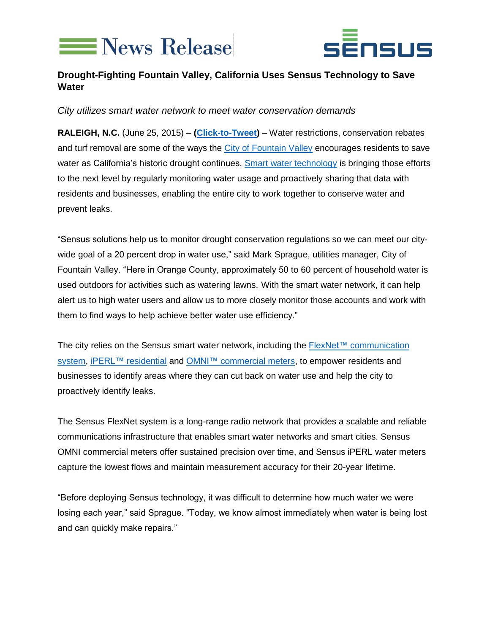



## **Drought-Fighting Fountain Valley, California Uses Sensus Technology to Save Water**

*City utilizes smart water network to meet water conservation demands*

**RALEIGH, N.C.** (June 25, 2015) – **[\(Click-to-Tweet\)](http://ctt.ec/4fJpz)** – Water restrictions, conservation rebates and turf removal are some of the ways the [City of Fountain Valley](http://www.fountainvalley.org/) encourages residents to save water as California's historic drought continues. [Smart water technology](http://sensus.com/web/usca/solutions/smart-water-network) is bringing those efforts to the next level by regularly monitoring water usage and proactively sharing that data with residents and businesses, enabling the entire city to work together to conserve water and prevent leaks.

"Sensus solutions help us to monitor drought conservation regulations so we can meet our citywide goal of a 20 percent drop in water use," said Mark Sprague, utilities manager, City of Fountain Valley. "Here in Orange County, approximately 50 to 60 percent of household water is used outdoors for activities such as watering lawns. With the smart water network, it can help alert us to high water users and allow us to more closely monitor those accounts and work with them to find ways to help achieve better water use efficiency."

The city relies on the Sensus smart water network, including the [FlexNet™ communication](http://sensus.com/nextgen)  [system,](http://sensus.com/nextgen) [iPERL™ residential](https://sensus.com/web/usca/water/product-line/residential-water-metrology/product/iperl-us) and [OMNI™ commercial meters,](http://sensus.com/web/usca/water/product-line/commercial-water-metrology) to empower residents and businesses to identify areas where they can cut back on water use and help the city to proactively identify leaks.

The Sensus FlexNet system is a long-range radio network that provides a scalable and reliable communications infrastructure that enables smart water networks and smart cities. Sensus OMNI commercial meters offer sustained precision over time, and Sensus iPERL water meters capture the lowest flows and maintain measurement accuracy for their 20-year lifetime.

"Before deploying Sensus technology, it was difficult to determine how much water we were losing each year," said Sprague. "Today, we know almost immediately when water is being lost and can quickly make repairs."